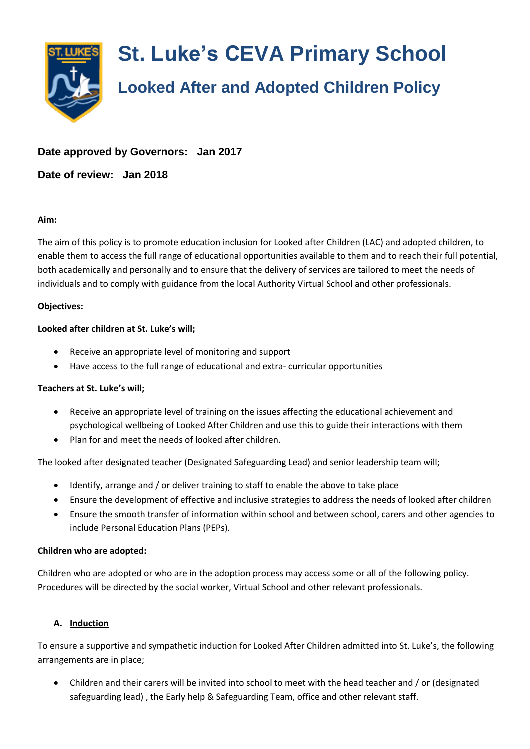

# **Date approved by Governors: Jan 2017**

**Date of review: Jan 2018**

#### **Aim:**

The aim of this policy is to promote education inclusion for Looked after Children (LAC) and adopted children, to enable them to access the full range of educational opportunities available to them and to reach their full potential, both academically and personally and to ensure that the delivery of services are tailored to meet the needs of individuals and to comply with guidance from the local Authority Virtual School and other professionals.

#### **Objectives:**

#### **Looked after children at St. Luke's will;**

- Receive an appropriate level of monitoring and support
- Have access to the full range of educational and extra- curricular opportunities

### **Teachers at St. Luke's will;**

- Receive an appropriate level of training on the issues affecting the educational achievement and psychological wellbeing of Looked After Children and use this to guide their interactions with them
- Plan for and meet the needs of looked after children.

The looked after designated teacher (Designated Safeguarding Lead) and senior leadership team will;

- Identify, arrange and / or deliver training to staff to enable the above to take place
- Ensure the development of effective and inclusive strategies to address the needs of looked after children
- Ensure the smooth transfer of information within school and between school, carers and other agencies to include Personal Education Plans (PEPs).

### **Children who are adopted:**

Children who are adopted or who are in the adoption process may access some or all of the following policy. Procedures will be directed by the social worker, Virtual School and other relevant professionals.

### **A. Induction**

To ensure a supportive and sympathetic induction for Looked After Children admitted into St. Luke's, the following arrangements are in place;

 Children and their carers will be invited into school to meet with the head teacher and / or (designated safeguarding lead) , the Early help & Safeguarding Team, office and other relevant staff.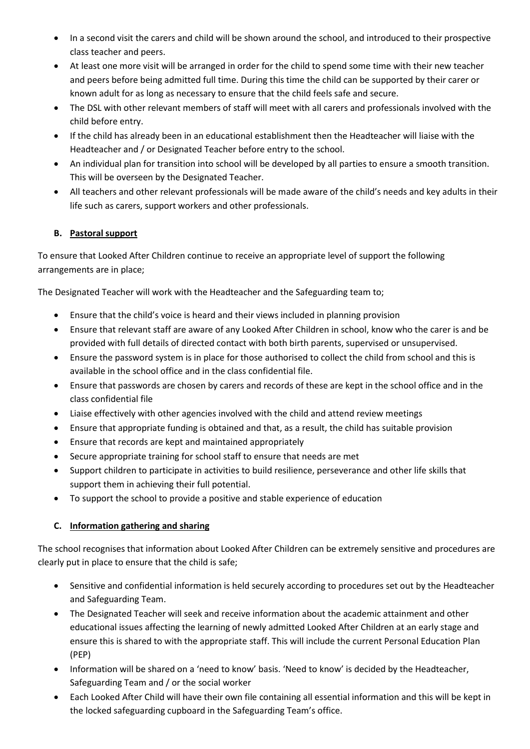- In a second visit the carers and child will be shown around the school, and introduced to their prospective class teacher and peers.
- At least one more visit will be arranged in order for the child to spend some time with their new teacher and peers before being admitted full time. During this time the child can be supported by their carer or known adult for as long as necessary to ensure that the child feels safe and secure.
- The DSL with other relevant members of staff will meet with all carers and professionals involved with the child before entry.
- If the child has already been in an educational establishment then the Headteacher will liaise with the Headteacher and / or Designated Teacher before entry to the school.
- An individual plan for transition into school will be developed by all parties to ensure a smooth transition. This will be overseen by the Designated Teacher.
- All teachers and other relevant professionals will be made aware of the child's needs and key adults in their life such as carers, support workers and other professionals.

# **B. Pastoral support**

To ensure that Looked After Children continue to receive an appropriate level of support the following arrangements are in place;

The Designated Teacher will work with the Headteacher and the Safeguarding team to;

- Ensure that the child's voice is heard and their views included in planning provision
- Ensure that relevant staff are aware of any Looked After Children in school, know who the carer is and be provided with full details of directed contact with both birth parents, supervised or unsupervised.
- Ensure the password system is in place for those authorised to collect the child from school and this is available in the school office and in the class confidential file.
- Ensure that passwords are chosen by carers and records of these are kept in the school office and in the class confidential file
- Liaise effectively with other agencies involved with the child and attend review meetings
- Ensure that appropriate funding is obtained and that, as a result, the child has suitable provision
- Ensure that records are kept and maintained appropriately
- Secure appropriate training for school staff to ensure that needs are met
- Support children to participate in activities to build resilience, perseverance and other life skills that support them in achieving their full potential.
- To support the school to provide a positive and stable experience of education

### **C. Information gathering and sharing**

The school recognises that information about Looked After Children can be extremely sensitive and procedures are clearly put in place to ensure that the child is safe;

- Sensitive and confidential information is held securely according to procedures set out by the Headteacher and Safeguarding Team.
- The Designated Teacher will seek and receive information about the academic attainment and other educational issues affecting the learning of newly admitted Looked After Children at an early stage and ensure this is shared to with the appropriate staff. This will include the current Personal Education Plan (PEP)
- Information will be shared on a 'need to know' basis. 'Need to know' is decided by the Headteacher, Safeguarding Team and / or the social worker
- Each Looked After Child will have their own file containing all essential information and this will be kept in the locked safeguarding cupboard in the Safeguarding Team's office.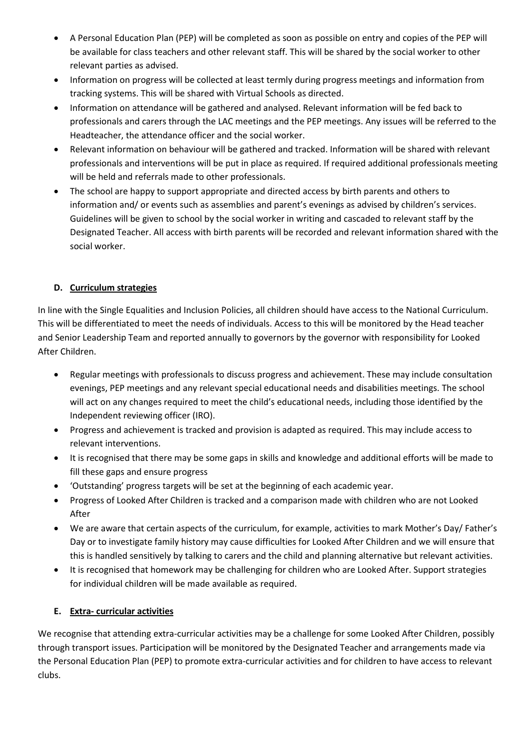- A Personal Education Plan (PEP) will be completed as soon as possible on entry and copies of the PEP will be available for class teachers and other relevant staff. This will be shared by the social worker to other relevant parties as advised.
- Information on progress will be collected at least termly during progress meetings and information from tracking systems. This will be shared with Virtual Schools as directed.
- Information on attendance will be gathered and analysed. Relevant information will be fed back to professionals and carers through the LAC meetings and the PEP meetings. Any issues will be referred to the Headteacher, the attendance officer and the social worker.
- Relevant information on behaviour will be gathered and tracked. Information will be shared with relevant professionals and interventions will be put in place as required. If required additional professionals meeting will be held and referrals made to other professionals.
- The school are happy to support appropriate and directed access by birth parents and others to information and/ or events such as assemblies and parent's evenings as advised by children's services. Guidelines will be given to school by the social worker in writing and cascaded to relevant staff by the Designated Teacher. All access with birth parents will be recorded and relevant information shared with the social worker.

## **D. Curriculum strategies**

In line with the Single Equalities and Inclusion Policies, all children should have access to the National Curriculum. This will be differentiated to meet the needs of individuals. Access to this will be monitored by the Head teacher and Senior Leadership Team and reported annually to governors by the governor with responsibility for Looked After Children.

- Regular meetings with professionals to discuss progress and achievement. These may include consultation evenings, PEP meetings and any relevant special educational needs and disabilities meetings. The school will act on any changes required to meet the child's educational needs, including those identified by the Independent reviewing officer (IRO).
- Progress and achievement is tracked and provision is adapted as required. This may include access to relevant interventions.
- It is recognised that there may be some gaps in skills and knowledge and additional efforts will be made to fill these gaps and ensure progress
- 'Outstanding' progress targets will be set at the beginning of each academic year.
- Progress of Looked After Children is tracked and a comparison made with children who are not Looked After
- We are aware that certain aspects of the curriculum, for example, activities to mark Mother's Day/ Father's Day or to investigate family history may cause difficulties for Looked After Children and we will ensure that this is handled sensitively by talking to carers and the child and planning alternative but relevant activities.
- It is recognised that homework may be challenging for children who are Looked After. Support strategies for individual children will be made available as required.

## **E. Extra- curricular activities**

We recognise that attending extra-curricular activities may be a challenge for some Looked After Children, possibly through transport issues. Participation will be monitored by the Designated Teacher and arrangements made via the Personal Education Plan (PEP) to promote extra-curricular activities and for children to have access to relevant clubs.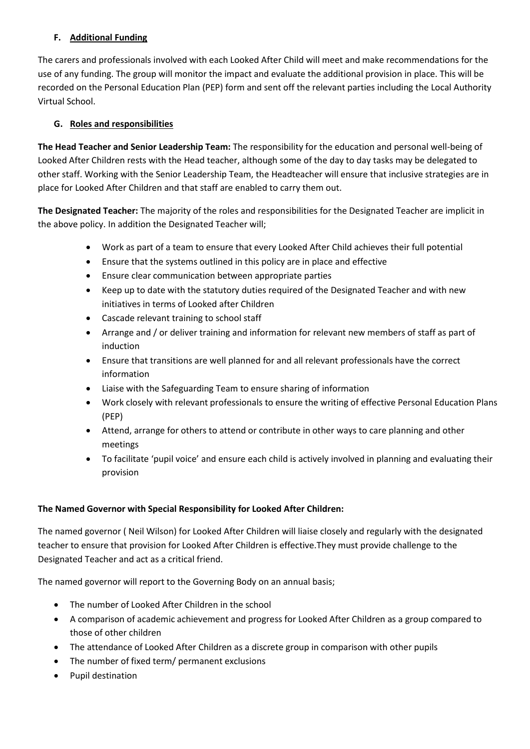## **F. Additional Funding**

The carers and professionals involved with each Looked After Child will meet and make recommendations for the use of any funding. The group will monitor the impact and evaluate the additional provision in place. This will be recorded on the Personal Education Plan (PEP) form and sent off the relevant parties including the Local Authority Virtual School.

### **G. Roles and responsibilities**

**The Head Teacher and Senior Leadership Team:** The responsibility for the education and personal well-being of Looked After Children rests with the Head teacher, although some of the day to day tasks may be delegated to other staff. Working with the Senior Leadership Team, the Headteacher will ensure that inclusive strategies are in place for Looked After Children and that staff are enabled to carry them out.

**The Designated Teacher:** The majority of the roles and responsibilities for the Designated Teacher are implicit in the above policy. In addition the Designated Teacher will;

- Work as part of a team to ensure that every Looked After Child achieves their full potential
- Ensure that the systems outlined in this policy are in place and effective
- Ensure clear communication between appropriate parties
- Keep up to date with the statutory duties required of the Designated Teacher and with new initiatives in terms of Looked after Children
- Cascade relevant training to school staff
- Arrange and / or deliver training and information for relevant new members of staff as part of induction
- Ensure that transitions are well planned for and all relevant professionals have the correct information
- Liaise with the Safeguarding Team to ensure sharing of information
- Work closely with relevant professionals to ensure the writing of effective Personal Education Plans (PEP)
- Attend, arrange for others to attend or contribute in other ways to care planning and other meetings
- To facilitate 'pupil voice' and ensure each child is actively involved in planning and evaluating their provision

### **The Named Governor with Special Responsibility for Looked After Children:**

The named governor ( Neil Wilson) for Looked After Children will liaise closely and regularly with the designated teacher to ensure that provision for Looked After Children is effective.They must provide challenge to the Designated Teacher and act as a critical friend.

The named governor will report to the Governing Body on an annual basis;

- The number of Looked After Children in the school
- A comparison of academic achievement and progress for Looked After Children as a group compared to those of other children
- The attendance of Looked After Children as a discrete group in comparison with other pupils
- The number of fixed term/ permanent exclusions
- Pupil destination